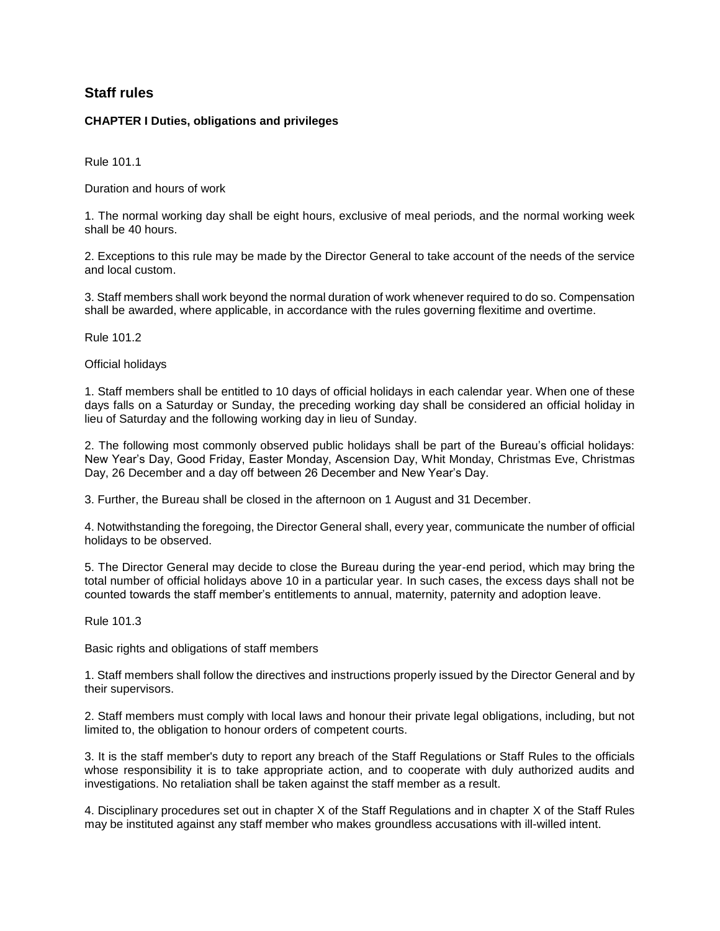## **Staff rules**

## **CHAPTER I Duties, obligations and privileges**

Rule 101.1

Duration and hours of work

1. The normal working day shall be eight hours, exclusive of meal periods, and the normal working week shall be 40 hours.

2. Exceptions to this rule may be made by the Director General to take account of the needs of the service and local custom.

3. Staff members shall work beyond the normal duration of work whenever required to do so. Compensation shall be awarded, where applicable, in accordance with the rules governing flexitime and overtime.

Rule 101.2

Official holidays

1. Staff members shall be entitled to 10 days of official holidays in each calendar year. When one of these days falls on a Saturday or Sunday, the preceding working day shall be considered an official holiday in lieu of Saturday and the following working day in lieu of Sunday.

2. The following most commonly observed public holidays shall be part of the Bureau's official holidays: New Year's Day, Good Friday, Easter Monday, Ascension Day, Whit Monday, Christmas Eve, Christmas Day, 26 December and a day off between 26 December and New Year's Day.

3. Further, the Bureau shall be closed in the afternoon on 1 August and 31 December.

4. Notwithstanding the foregoing, the Director General shall, every year, communicate the number of official holidays to be observed.

5. The Director General may decide to close the Bureau during the year-end period, which may bring the total number of official holidays above 10 in a particular year. In such cases, the excess days shall not be counted towards the staff member's entitlements to annual, maternity, paternity and adoption leave.

Rule 101.3

Basic rights and obligations of staff members

1. Staff members shall follow the directives and instructions properly issued by the Director General and by their supervisors.

2. Staff members must comply with local laws and honour their private legal obligations, including, but not limited to, the obligation to honour orders of competent courts.

3. It is the staff member's duty to report any breach of the Staff Regulations or Staff Rules to the officials whose responsibility it is to take appropriate action, and to cooperate with duly authorized audits and investigations. No retaliation shall be taken against the staff member as a result.

4. Disciplinary procedures set out in chapter X of the Staff Regulations and in chapter X of the Staff Rules may be instituted against any staff member who makes groundless accusations with ill-willed intent.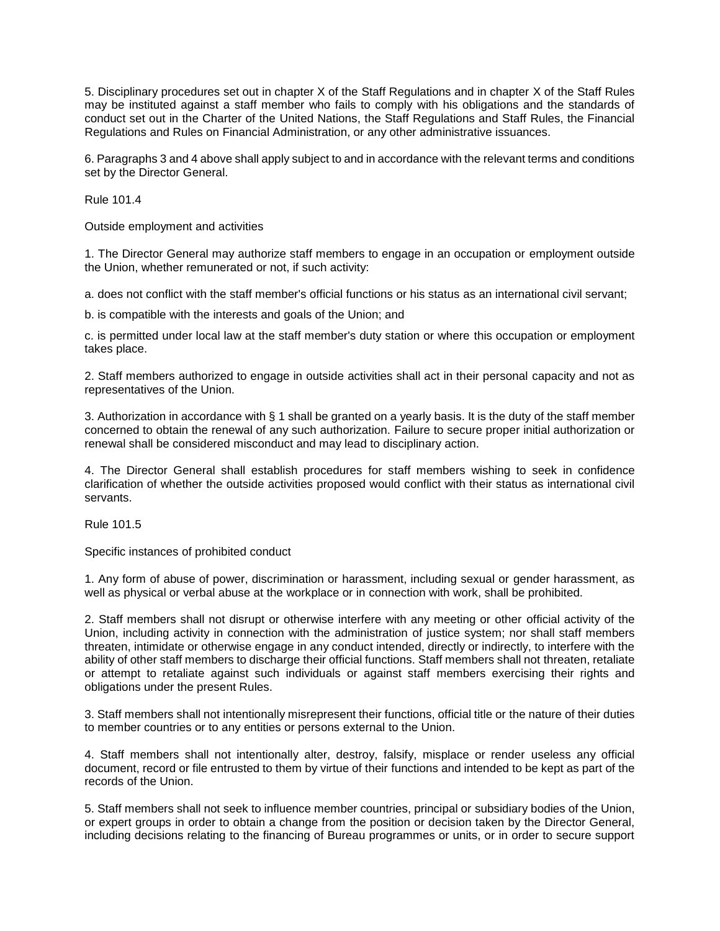5. Disciplinary procedures set out in chapter X of the Staff Regulations and in chapter X of the Staff Rules may be instituted against a staff member who fails to comply with his obligations and the standards of conduct set out in the Charter of the United Nations, the Staff Regulations and Staff Rules, the Financial Regulations and Rules on Financial Administration, or any other administrative issuances.

6. Paragraphs 3 and 4 above shall apply subject to and in accordance with the relevant terms and conditions set by the Director General.

Rule 101.4

Outside employment and activities

1. The Director General may authorize staff members to engage in an occupation or employment outside the Union, whether remunerated or not, if such activity:

a. does not conflict with the staff member's official functions or his status as an international civil servant;

b. is compatible with the interests and goals of the Union; and

c. is permitted under local law at the staff member's duty station or where this occupation or employment takes place.

2. Staff members authorized to engage in outside activities shall act in their personal capacity and not as representatives of the Union.

3. Authorization in accordance with § 1 shall be granted on a yearly basis. It is the duty of the staff member concerned to obtain the renewal of any such authorization. Failure to secure proper initial authorization or renewal shall be considered misconduct and may lead to disciplinary action.

4. The Director General shall establish procedures for staff members wishing to seek in confidence clarification of whether the outside activities proposed would conflict with their status as international civil servants.

Rule 101.5

Specific instances of prohibited conduct

1. Any form of abuse of power, discrimination or harassment, including sexual or gender harassment, as well as physical or verbal abuse at the workplace or in connection with work, shall be prohibited.

2. Staff members shall not disrupt or otherwise interfere with any meeting or other official activity of the Union, including activity in connection with the administration of justice system; nor shall staff members threaten, intimidate or otherwise engage in any conduct intended, directly or indirectly, to interfere with the ability of other staff members to discharge their official functions. Staff members shall not threaten, retaliate or attempt to retaliate against such individuals or against staff members exercising their rights and obligations under the present Rules.

3. Staff members shall not intentionally misrepresent their functions, official title or the nature of their duties to member countries or to any entities or persons external to the Union.

4. Staff members shall not intentionally alter, destroy, falsify, misplace or render useless any official document, record or file entrusted to them by virtue of their functions and intended to be kept as part of the records of the Union.

5. Staff members shall not seek to influence member countries, principal or subsidiary bodies of the Union, or expert groups in order to obtain a change from the position or decision taken by the Director General, including decisions relating to the financing of Bureau programmes or units, or in order to secure support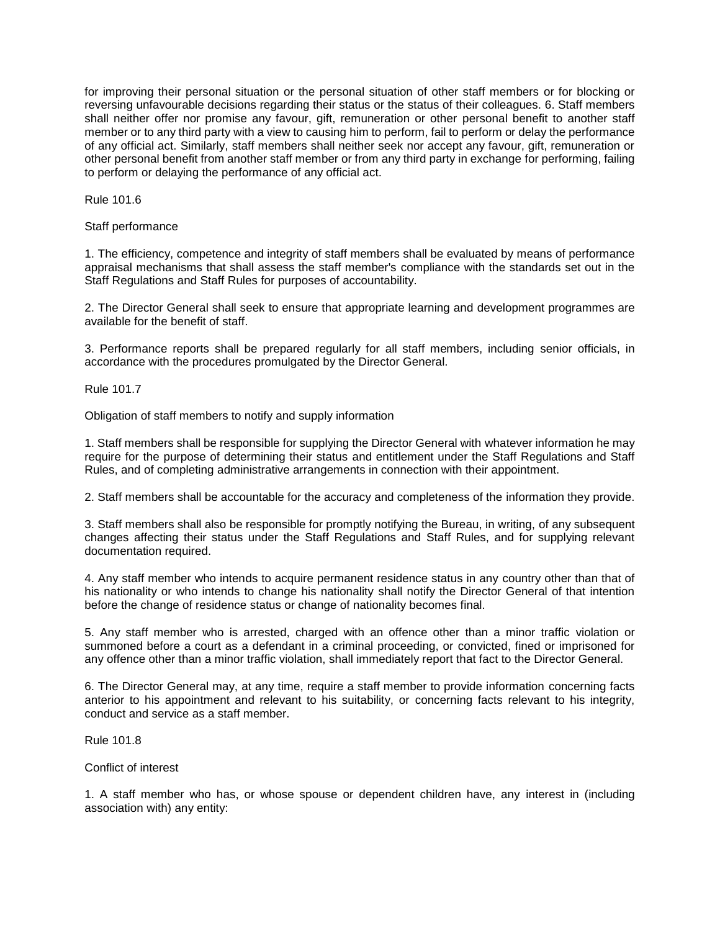for improving their personal situation or the personal situation of other staff members or for blocking or reversing unfavourable decisions regarding their status or the status of their colleagues. 6. Staff members shall neither offer nor promise any favour, gift, remuneration or other personal benefit to another staff member or to any third party with a view to causing him to perform, fail to perform or delay the performance of any official act. Similarly, staff members shall neither seek nor accept any favour, gift, remuneration or other personal benefit from another staff member or from any third party in exchange for performing, failing to perform or delaying the performance of any official act.

Rule 101.6

Staff performance

1. The efficiency, competence and integrity of staff members shall be evaluated by means of performance appraisal mechanisms that shall assess the staff member's compliance with the standards set out in the Staff Regulations and Staff Rules for purposes of accountability.

2. The Director General shall seek to ensure that appropriate learning and development programmes are available for the benefit of staff.

3. Performance reports shall be prepared regularly for all staff members, including senior officials, in accordance with the procedures promulgated by the Director General.

Rule 101.7

Obligation of staff members to notify and supply information

1. Staff members shall be responsible for supplying the Director General with whatever information he may require for the purpose of determining their status and entitlement under the Staff Regulations and Staff Rules, and of completing administrative arrangements in connection with their appointment.

2. Staff members shall be accountable for the accuracy and completeness of the information they provide.

3. Staff members shall also be responsible for promptly notifying the Bureau, in writing, of any subsequent changes affecting their status under the Staff Regulations and Staff Rules, and for supplying relevant documentation required.

4. Any staff member who intends to acquire permanent residence status in any country other than that of his nationality or who intends to change his nationality shall notify the Director General of that intention before the change of residence status or change of nationality becomes final.

5. Any staff member who is arrested, charged with an offence other than a minor traffic violation or summoned before a court as a defendant in a criminal proceeding, or convicted, fined or imprisoned for any offence other than a minor traffic violation, shall immediately report that fact to the Director General.

6. The Director General may, at any time, require a staff member to provide information concerning facts anterior to his appointment and relevant to his suitability, or concerning facts relevant to his integrity, conduct and service as a staff member.

Rule 101.8

Conflict of interest

1. A staff member who has, or whose spouse or dependent children have, any interest in (including association with) any entity: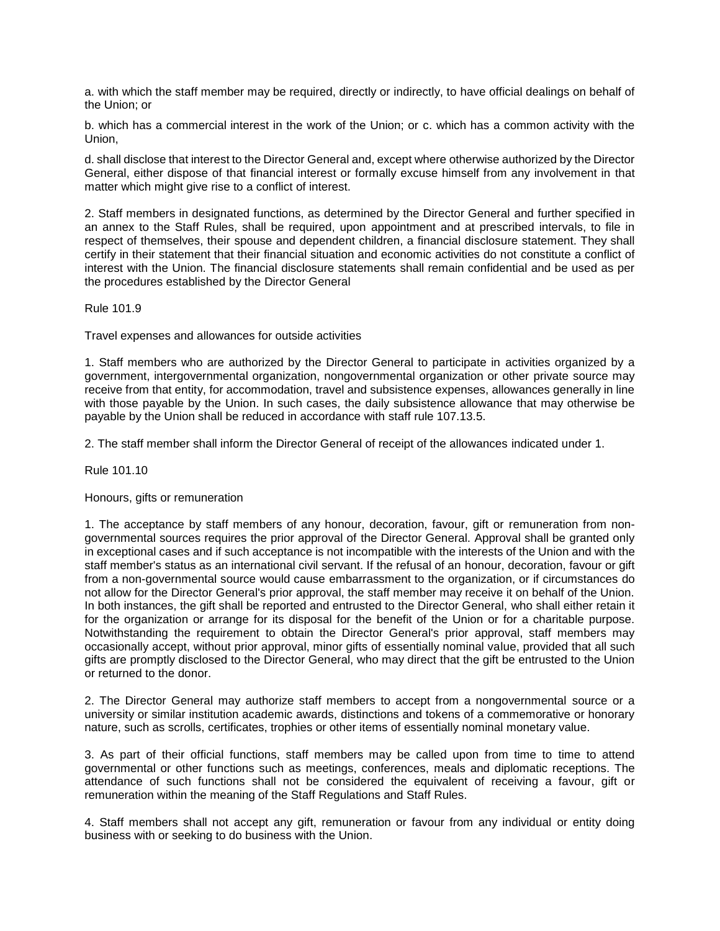a. with which the staff member may be required, directly or indirectly, to have official dealings on behalf of the Union; or

b. which has a commercial interest in the work of the Union; or c. which has a common activity with the Union,

d. shall disclose that interest to the Director General and, except where otherwise authorized by the Director General, either dispose of that financial interest or formally excuse himself from any involvement in that matter which might give rise to a conflict of interest.

2. Staff members in designated functions, as determined by the Director General and further specified in an annex to the Staff Rules, shall be required, upon appointment and at prescribed intervals, to file in respect of themselves, their spouse and dependent children, a financial disclosure statement. They shall certify in their statement that their financial situation and economic activities do not constitute a conflict of interest with the Union. The financial disclosure statements shall remain confidential and be used as per the procedures established by the Director General

Rule 101.9

Travel expenses and allowances for outside activities

1. Staff members who are authorized by the Director General to participate in activities organized by a government, intergovernmental organization, nongovernmental organization or other private source may receive from that entity, for accommodation, travel and subsistence expenses, allowances generally in line with those payable by the Union. In such cases, the daily subsistence allowance that may otherwise be payable by the Union shall be reduced in accordance with staff rule 107.13.5.

2. The staff member shall inform the Director General of receipt of the allowances indicated under 1.

Rule 101.10

Honours, gifts or remuneration

1. The acceptance by staff members of any honour, decoration, favour, gift or remuneration from nongovernmental sources requires the prior approval of the Director General. Approval shall be granted only in exceptional cases and if such acceptance is not incompatible with the interests of the Union and with the staff member's status as an international civil servant. If the refusal of an honour, decoration, favour or gift from a non-governmental source would cause embarrassment to the organization, or if circumstances do not allow for the Director General's prior approval, the staff member may receive it on behalf of the Union. In both instances, the gift shall be reported and entrusted to the Director General, who shall either retain it for the organization or arrange for its disposal for the benefit of the Union or for a charitable purpose. Notwithstanding the requirement to obtain the Director General's prior approval, staff members may occasionally accept, without prior approval, minor gifts of essentially nominal value, provided that all such gifts are promptly disclosed to the Director General, who may direct that the gift be entrusted to the Union or returned to the donor.

2. The Director General may authorize staff members to accept from a nongovernmental source or a university or similar institution academic awards, distinctions and tokens of a commemorative or honorary nature, such as scrolls, certificates, trophies or other items of essentially nominal monetary value.

3. As part of their official functions, staff members may be called upon from time to time to attend governmental or other functions such as meetings, conferences, meals and diplomatic receptions. The attendance of such functions shall not be considered the equivalent of receiving a favour, gift or remuneration within the meaning of the Staff Regulations and Staff Rules.

4. Staff members shall not accept any gift, remuneration or favour from any individual or entity doing business with or seeking to do business with the Union.